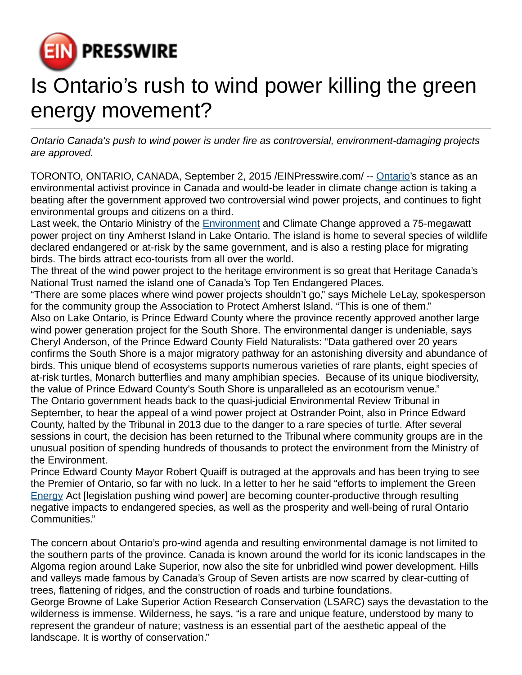

## Is Ontario's rush to wind power killing the green energy movement?

Ontario Canada's push to wind power is under fire as controversial, environment-damaging projects are approved.

TORONTO, ONTARIO, CANADA, September 2, 2015 [/EINPresswire.com](http://www.einpresswire.com)/ -- [Ontario](http://www.windconcernsontario.ca/amherst-island-destruction-assured-wind-farm-approved-by-moecc/)'s stance as an environmental activist province in Canada and would-be leader in climate change action is taking a beating after the government approved two controversial wind power projects, and continues to fight environmental groups and citizens on a third.

Last week, the Ontario Ministry of the **Environment** and Climate Change approved a 75-megawatt power project on tiny Amherst Island in Lake Ontario. The island is home to several species of wildlife declared endangered or at-risk by the same government, and is also a resting place for migrating birds. The birds attract eco-tourists from all over the world.

The threat of the wind power project to the heritage environment is so great that Heritage Canada's National Trust named the island one of Canada's Top Ten Endangered Places.

"There are some places where wind power projects shouldn't go," says Michele LeLay, spokesperson for the community group the Association to Protect Amherst Island. "This is one of them." Also on Lake Ontario, is Prince Edward County where the province recently approved another large wind power generation project for the South Shore. The environmental danger is undeniable, says Cheryl Anderson, of the Prince Edward County Field Naturalists: "Data gathered over 20 years confirms the South Shore is a major migratory pathway for an astonishing diversity and abundance of birds. This unique blend of ecosystems supports numerous varieties of rare plants, eight species of at-risk turtles, Monarch butterflies and many amphibian species. Because of its unique biodiversity, the value of Prince Edward County's South Shore is unparalleled as an ecotourism venue." The Ontario government heads back to the quasi-judicial Environmental Review Tribunal in September, to hear the appeal of a wind power project at Ostrander Point, also in Prince Edward County, halted by the Tribunal in 2013 due to the danger to a rare species of turtle. After several sessions in court, the decision has been returned to the Tribunal where community groups are in the unusual position of spending hundreds of thousands to protect the environment from the Ministry of the Environment.

Prince Edward County Mayor Robert Quaiff is outraged at the approvals and has been trying to see the Premier of Ontario, so far with no luck. In a letter to her he said "efforts to implement the Green [Energy](http://www.windconcernsontario.ca/ontario-green-energy-policy-actually-harms-environment-amherst-island-group/) Act [legislation pushing wind power] are becoming counter-productive through resulting negative impacts to endangered species, as well as the prosperity and well-being of rural Ontario Communities."

The concern about Ontario's pro-wind agenda and resulting environmental damage is not limited to the southern parts of the province. Canada is known around the world for its iconic landscapes in the Algoma region around Lake Superior, now also the site for unbridled wind power development. Hills and valleys made famous by Canada's Group of Seven artists are now scarred by clear-cutting of trees, flattening of ridges, and the construction of roads and turbine foundations. George Browne of Lake Superior Action Research Conservation (LSARC) says the devastation to the

wilderness is immense. Wilderness, he says, "is a rare and unique feature, understood by many to represent the grandeur of nature; vastness is an essential part of the aesthetic appeal of the landscape. It is worthy of conservation."